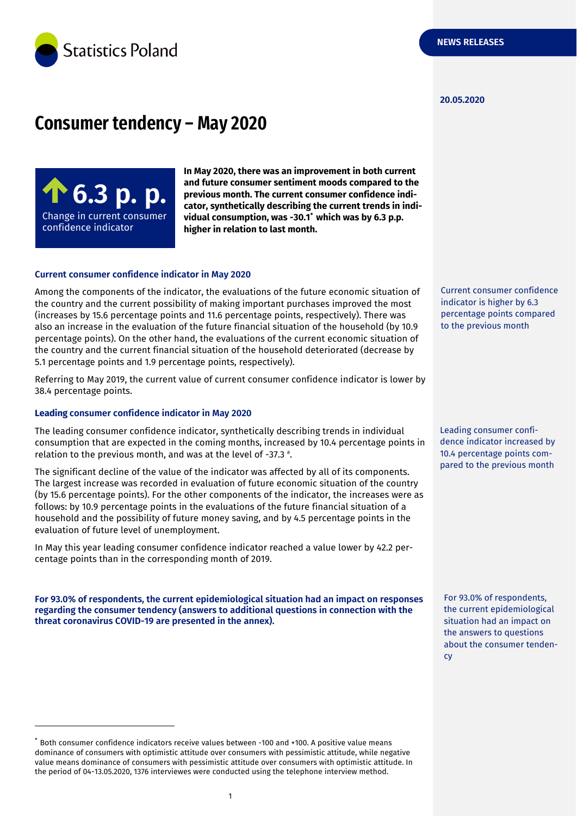

#### **20.05.2020**

# **Consumer tendency – May 2020**



**In May 2020, there was an improvement in both current and future consumer sentiment moods compared to the previous month. The current consumer confidence indicator, synthetically describing the current trends in individual consumption, was -30.1** *\** **which was by 6.3 p.p. higher in relation to last month.**

#### **Current consumer confidence indicator in May 2020**

Among the components of the indicator, the evaluations of the future economic situation of the country and the current possibility of making important purchases improved the most (increases by 15.6 percentage points and 11.6 percentage points, respectively). There was also an increase in the evaluation of the future financial situation of the household (by 10.9 percentage points). On the other hand, the evaluations of the current economic situation of the country and the current financial situation of the household deteriorated (decrease by 5.1 percentage points and 1.9 percentage points, respectively).

Referring to May 2019, the current value of current consumer confidence indicator is lower by 38.4 percentage points.

#### **Leading consumer confidence indicator in May 2020**

-

The leading consumer confidence indicator, synthetically describing trends in individual consumption that are expected in the coming months, increased by 10.4 percentage points in relation to the previous month, and was at the level of -37.3 a .

The significant decline of the value of the indicator was affected by all of its components. The largest increase was recorded in evaluation of future economic situation of the country (by 15.6 percentage points). For the other components of the indicator, the increases were as follows: by 10.9 percentage points in the evaluations of the future financial situation of a household and the possibility of future money saving, and by 4.5 percentage points in the evaluation of future level of unemployment.

In May this year leading consumer confidence indicator reached a value lower by 42.2 percentage points than in the corresponding month of 2019.

**For 93.0% of respondents, the current epidemiological situation had an impact on responses regarding the consumer tendency (answers to additional questions in connection with the threat coronavirus COVID-19 are presented in the annex).**

\* Both consumer confidence indicators receive values between -100 and +100. A positive value means dominance of consumers with optimistic attitude over consumers with pessimistic attitude, while negative value means dominance of consumers with pessimistic attitude over consumers with optimistic attitude. In the period of 04-13.05.2020, 1376 interviewes were conducted using the telephone interview method.

Current consumer confidence indicator is higher by 6.3 percentage points compared to the previous month

Leading consumer confidence indicator increased by 10.4 percentage points compared to the previous month

For 93.0% of respondents, the current epidemiological situation had an impact on the answers to questions about the consumer tendency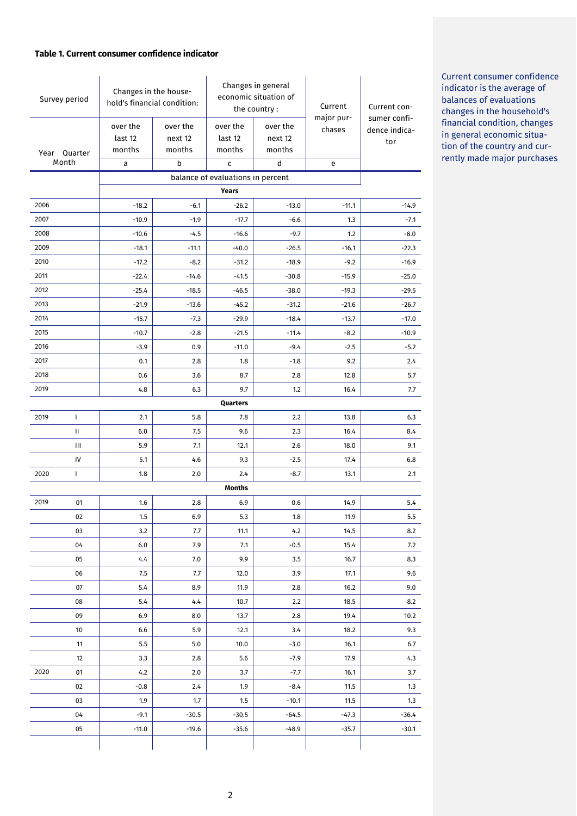#### **Table 1. Current consumer confidence indicator**

| Survey period |                                            | Changes in the house-<br>hold's financial condition: |                               | Changes in general<br>economic situation of<br>the country: |                               | Current              | Current con-                         |  |  |
|---------------|--------------------------------------------|------------------------------------------------------|-------------------------------|-------------------------------------------------------------|-------------------------------|----------------------|--------------------------------------|--|--|
| Year Quarter  |                                            | over the<br>last 12<br>months                        | over the<br>next 12<br>months | over the<br>last 12<br>months                               | over the<br>next 12<br>months | major pur-<br>chases | sumer confi-<br>dence indica-<br>tor |  |  |
|               | Month                                      | а                                                    | b                             | C                                                           | d                             | e                    |                                      |  |  |
|               | balance of evaluations in percent<br>Years |                                                      |                               |                                                             |                               |                      |                                      |  |  |
| 2006          |                                            | $-18.2$                                              | $-6.1$                        | $-26.2$                                                     | $-13.0$                       | $-11.1$              | $-14.9$                              |  |  |
| 2007          |                                            | $-10.9$                                              | $-1.9$                        | $-17.7$                                                     | $-6.6$                        | 1.3                  | $-7.1$                               |  |  |
| 2008          |                                            | $-10.6$                                              | $-4.5$                        | $-16.6$                                                     | $-9.7$                        | 1.2                  | $-8.0$                               |  |  |
| 2009          |                                            | $-18.1$                                              | $-11.1$                       | $-40.0$                                                     | $-26.5$                       | $-16.1$              | $-22.3$                              |  |  |
| 2010          |                                            | $-17.2$                                              | $-8.2$                        | $-31.2$                                                     | $-18.9$                       | $-9.2$               | $-16.9$                              |  |  |
| 2011          |                                            | $-22.4$                                              | $-14.6$                       | $-41.5$                                                     | $-30.8$                       | $-15.9$              | $-25.0$                              |  |  |
| 2012          |                                            | $-25.4$                                              | $-18.5$                       | $-46.5$                                                     | $-38.0$                       | $-19.3$              | $-29.5$                              |  |  |
| 2013          |                                            | $-21.9$                                              | $-13.6$                       | $-45.2$                                                     | $-31.2$                       | $-21.6$              | $-26.7$                              |  |  |
| 2014          |                                            | $-15.7$                                              | $-7.3$                        | $-29.9$                                                     | $-18.4$                       | $-13.7$              | $-17.0$                              |  |  |
| 2015          |                                            | $-10.7$                                              | $-2.8$                        | $-21.5$                                                     | $-11.4$                       | $-8.2$               | $-10.9$                              |  |  |
| 2016          |                                            | $-3.9$                                               | 0.9                           | $-11.0$                                                     | $-9.4$                        | $-2.5$               | $-5.2$                               |  |  |
| 2017          |                                            | 0.1                                                  | 2.8                           | 1.8                                                         | $-1.8$                        | 9.2                  | 2.4                                  |  |  |
| 2018          |                                            | 0.6                                                  | 3.6                           | 8.7                                                         | 2.8                           | 12.8                 | 5.7                                  |  |  |
| 2019          |                                            | 4.8                                                  | 6.3                           | 9.7                                                         | 1.2                           | 16.4                 | 7.7                                  |  |  |
|               |                                            |                                                      |                               | Quarters                                                    |                               |                      |                                      |  |  |
| 2019          | L                                          | 2.1                                                  | 5.8                           | 7.8                                                         | 2.2                           | 13.8                 | 6.3                                  |  |  |
|               | $\mathbf{H}$                               | 6.0                                                  | 7.5                           | 9.6                                                         | 2.3                           | 16.4                 | 8.4                                  |  |  |
|               | Ш                                          | 5.9                                                  | 7.1                           | 12.1                                                        | 2.6                           | 18.0                 | 9.1                                  |  |  |
| 2020          | IV<br>T                                    | 5.1<br>1.8                                           | 4.6<br>2.0                    | 9.3<br>2.4                                                  | $-2.5$<br>$-8.7$              | 17.4<br>13.1         | 6.8<br>2.1                           |  |  |
|               |                                            |                                                      |                               | <b>Months</b>                                               |                               |                      |                                      |  |  |
| 2019          | 01                                         | 1.6                                                  | 2.8                           | 6.9                                                         | 0.6                           | 14.9                 | 5.4                                  |  |  |
|               | 02                                         | 1.5                                                  | 6.9                           | 5.3                                                         | 1.8                           | 11.9                 | 5.5                                  |  |  |
|               | 03                                         | 3.2                                                  | 7.7                           | 11.1                                                        | 4.2                           | 14.5                 | 8.2                                  |  |  |
|               | 04                                         | 6.0                                                  | 7.9                           | 7.1                                                         | $-0.5$                        | 15.4                 | 7.2                                  |  |  |
|               | 05                                         | 4.4                                                  | 7.0                           | 9.9                                                         | 3.5                           | 16.7                 | 8.3                                  |  |  |
|               | 06                                         | 7.5                                                  | 7.7                           | 12.0                                                        | 3.9                           | 17.1                 | 9.6                                  |  |  |
|               | 07                                         | 5.4                                                  | 8.9                           | 11.9                                                        | 2.8                           | 16.2                 | 9.0                                  |  |  |
|               | 08                                         | 5.4                                                  | 4.4                           | 10.7                                                        | 2.2                           | 18.5                 | 8.2                                  |  |  |
|               | 09                                         | 6.9                                                  | 8.0                           | 13.7                                                        | 2.8                           | 19.4                 | 10.2                                 |  |  |
|               | 10                                         | 6.6                                                  | 5.9                           | 12.1                                                        | 3.4                           | 18.2                 | 9.3                                  |  |  |
|               | 11                                         | 5.5                                                  | 5.0                           | 10.0                                                        | $-3.0$                        | 16.1                 | 6.7                                  |  |  |
|               | 12                                         | 3.3                                                  | 2.8                           | 5.6                                                         | -7.9                          | 17.9                 | 4.3                                  |  |  |
| 2020          | 01                                         | 4.2                                                  | 2.0                           | 3.7                                                         | -7.7                          | 16.1                 | 3.7                                  |  |  |
|               | 02                                         | $-0.8$                                               | 2.4                           | 1.9                                                         | $-8.4$                        | 11.5                 | 1.3                                  |  |  |
|               | 03                                         | 1.9                                                  | 1.7                           | 1.5                                                         | $-10.1$                       | 11.5                 | 1.3                                  |  |  |
|               | 04                                         | $-9.1$                                               | $-30.5$                       | $-30.5$                                                     | $-64.5$                       | $-47.3$              | $-36.4$                              |  |  |
|               | 05                                         | $-11.0$                                              | $-19.6$                       | $-35.6$                                                     | $-48.9$                       | $-35.7$              | $-30.1$                              |  |  |
|               |                                            |                                                      |                               |                                                             |                               |                      |                                      |  |  |

Current consumer confidence indicator is the average of balances of evaluations changes in the household's financial condition, changes in general economic situation of the country and currently made major purchases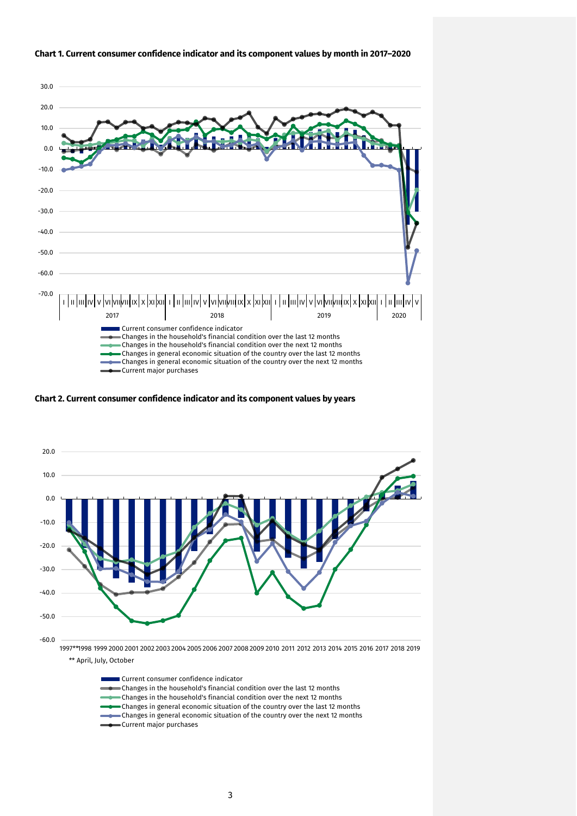

#### **Chart 1. Current consumer confidence indicator and its component values by month in 2017–2020**

**Chart 2. Current consumer confidence indicator and its component values by years**



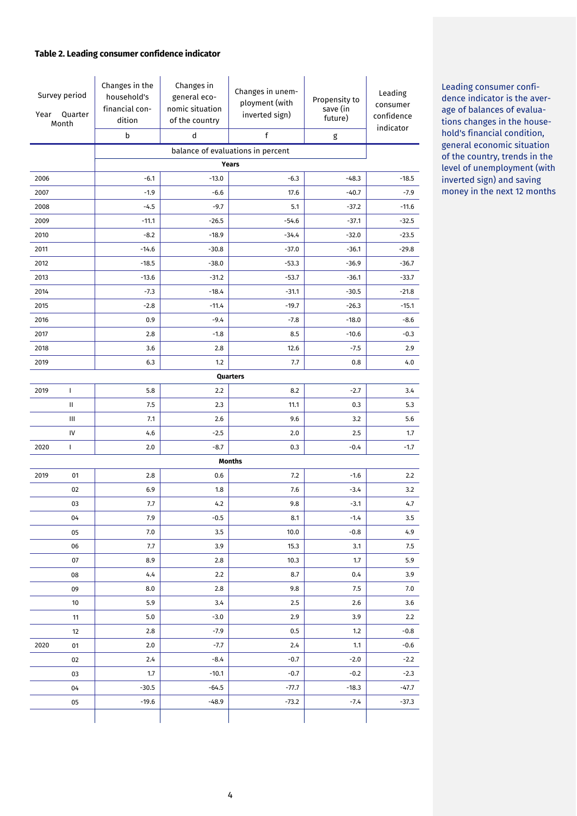#### **Table 2. Leading consumer confidence indicator**

| Survey period<br>Quarter<br>Year<br>Month |    | Changes in the<br>household's<br>financial con-<br>dition<br>b | Changes in<br>general eco-<br>nomic situation<br>of the country<br>d | Changes in unem-<br>ployment (with<br>inverted sign)<br>f | Propensity to<br>save (in<br>future)<br>g | Leading<br>consumer<br>confidence<br>indicator |
|-------------------------------------------|----|----------------------------------------------------------------|----------------------------------------------------------------------|-----------------------------------------------------------|-------------------------------------------|------------------------------------------------|
|                                           |    |                                                                |                                                                      | balance of evaluations in percent                         |                                           |                                                |
|                                           |    |                                                                |                                                                      | Years                                                     |                                           |                                                |
| 2006                                      |    | $-6.1$                                                         | $-13.0$                                                              | $-6.3$                                                    | $-48.3$                                   | $-18.5$                                        |
| 2007                                      |    | $-1.9$                                                         | $-6.6$                                                               | 17.6                                                      | $-40.7$                                   | $-7.9$                                         |
| 2008                                      |    | $-4.5$                                                         | $-9.7$                                                               | 5.1                                                       | $-37.2$                                   | $-11.6$                                        |
| 2009                                      |    | $-11.1$                                                        | $-26.5$                                                              | $-54.6$                                                   | $-37.1$                                   | $-32.5$                                        |
| 2010                                      |    | $-8.2$                                                         | $-18.9$                                                              | $-34.4$                                                   | $-32.0$                                   | $-23.5$                                        |
| 2011                                      |    | $-14.6$                                                        | $-30.8$                                                              | $-37.0$                                                   | $-36.1$                                   | $-29.8$                                        |
| 2012                                      |    | $-18.5$                                                        | $-38.0$                                                              | $-53.3$                                                   | $-36.9$                                   | $-36.7$                                        |
| 2013                                      |    | $-13.6$                                                        | $-31.2$                                                              | $-53.7$                                                   | $-36.1$                                   | $-33.7$                                        |
| 2014                                      |    | $-7.3$                                                         | $-18.4$                                                              | $-31.1$                                                   | $-30.5$                                   | $-21.8$                                        |
| 2015                                      |    | $-2.8$                                                         | $-11.4$                                                              | $-19.7$                                                   | $-26.3$                                   | $-15.1$                                        |
| 2016                                      |    | 0.9                                                            | $-9.4$                                                               | $-7.8$                                                    | $-18.0$                                   | $-8.6$                                         |
| 2017                                      |    | 2.8                                                            | $-1.8$                                                               | 8.5                                                       | $-10.6$                                   | $-0.3$                                         |
| 2018                                      |    | 3.6                                                            | 2.8                                                                  | 12.6                                                      | $-7.5$                                    | 2.9                                            |
| 2019                                      |    | 6.3                                                            | 1.2                                                                  | 7.7                                                       | 0.8                                       | 4.0                                            |
|                                           |    |                                                                |                                                                      | Quarters                                                  |                                           |                                                |
| 2019                                      | L  | 5.8                                                            | 2.2                                                                  | 8.2                                                       | $-2.7$                                    | 3.4                                            |
|                                           | Ш  | 7.5                                                            | 2.3                                                                  | 11.1                                                      | 0.3                                       | 5.3                                            |
|                                           | Ш  | 7.1                                                            | 2.6                                                                  | 9.6                                                       | 3.2                                       | 5.6                                            |
|                                           | IV | 4.6                                                            | $-2.5$                                                               | 2.0                                                       | 2.5                                       | 1.7                                            |
| 2020                                      | L  | 2.0                                                            | $-8.7$                                                               | 0.3                                                       | $-0.4$                                    | $-1.7$                                         |
|                                           |    |                                                                |                                                                      | <b>Months</b>                                             |                                           |                                                |
| 2019                                      | 01 | 2.8                                                            | 0.6                                                                  | 7.2                                                       | $-1.6$                                    | 2.2                                            |
|                                           | 02 | 6.9                                                            | 1.8                                                                  | 7.6                                                       | $-3.4$                                    | 3.2                                            |
|                                           | 03 | 7.7                                                            | 4.2                                                                  | 9.8                                                       | $-3.1$                                    | 4.7                                            |
|                                           | 04 | 7.9                                                            | $-0.5$                                                               | 8.1                                                       | $-1.4$                                    | 3.5                                            |
|                                           | 05 | 7.0                                                            | 3.5                                                                  | 10.0                                                      | $-0.8$                                    | 4.9                                            |
|                                           | 06 | 7.7                                                            | 3.9                                                                  | 15.3                                                      | 3.1                                       | 7.5                                            |
|                                           | 07 | 8.9                                                            | 2.8                                                                  | 10.3                                                      | 1.7                                       | 5.9                                            |
|                                           | 08 | 4.4                                                            | 2.2                                                                  | 8.7                                                       | 0.4                                       | 3.9                                            |
|                                           | 09 | 8.0                                                            | 2.8                                                                  | 9.8                                                       | 7.5                                       | 7.0                                            |
|                                           | 10 | 5.9                                                            | 3.4                                                                  | 2.5                                                       | 2.6                                       | 3.6                                            |
|                                           | 11 | 5.0                                                            | $-3.0$                                                               | 2.9                                                       | 3.9                                       | 2.2                                            |
|                                           | 12 | 2.8                                                            | $-7.9$                                                               | 0.5                                                       | 1.2                                       | $-0.8$                                         |
| 2020                                      | 01 | 2.0                                                            | $-7.7$                                                               | 2.4                                                       | 1.1                                       | $-0.6$                                         |
|                                           | 02 | 2.4                                                            | $-8.4$                                                               | $-0.7$                                                    | $-2.0$                                    | $-2.2$                                         |
|                                           | 03 | 1.7                                                            | $-10.1$                                                              | $-0.7$                                                    | $-0.2$                                    | $-2.3$                                         |
|                                           | 04 | $-30.5$                                                        | $-64.5$                                                              | $-77.7$                                                   | $-18.3$                                   | $-47.7$                                        |
|                                           | 05 | $-19.6$                                                        | $-48.9$                                                              | $-73.2$                                                   | $-7.4$                                    | $-37.3$                                        |
|                                           |    |                                                                |                                                                      |                                                           |                                           |                                                |

Leading consumer confidence indicator is the average of balances of evaluations changes in the household's financial condition, general economic situation of the country, trends in the level of unemployment (with inverted sign) and saving money in the next 12 months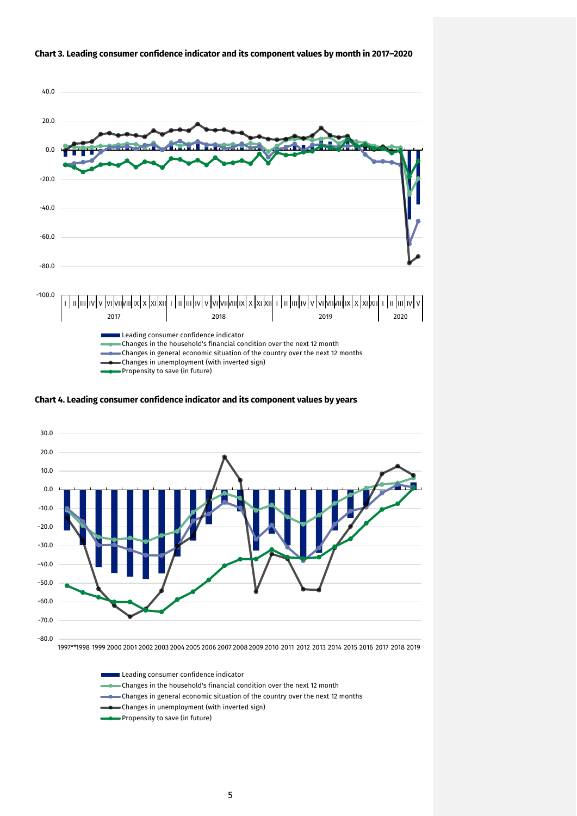

#### **Chart 3. Leading consumer confidence indicator and its component values by month in 2017–2020**

**Chart 4. Leading consumer confidence indicator and its component values by years**



1997\*\*1998 1999 2000 2001 2002 2003 2004 2005 2006 2007 2008 2009 2010 2011 2012 2013 2014 2015 2016 2017 2018 2019

#### **Leading consumer confidence indicator**

- Changes in the household's financial condition over the next 12 month
- Changes in general economic situation of the country over the next 12 months
- Changes in unemployment (with inverted sign)
- Propensity to save (in future)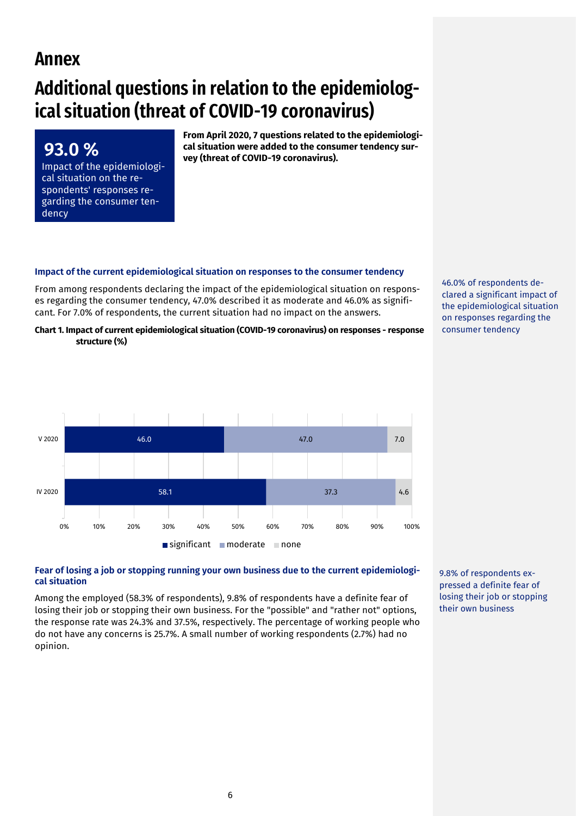# **Annex**

**93.0 %** 

dency

Impact of the epidemiological situation on the respondents' responses regarding the consumer ten-

# **Additional questions in relation to the epidemiological situation (threat of COVID-19 coronavirus)**

**From April 2020, 7 questions related to the epidemiological situation were added to the consumer tendency survey (threat of COVID-19 coronavirus).**

#### **Impact of the current epidemiological situation on responses to the consumer tendency**

From among respondents declaring the impact of the epidemiological situation on responses regarding the consumer tendency, 47.0% described it as moderate and 46.0% as significant. For 7.0% of respondents, the current situation had no impact on the answers.

**Chart 1. Impact of current epidemiological situation (COVID-19 coronavirus) on responses - response structure (%)**



46.0% of respondents declared a significant impact of the epidemiological situation on responses regarding the consumer tendency

#### **Fear of losing a job or stopping running your own business due to the current epidemiological situation**

Among the employed (58.3% of respondents), 9.8% of respondents have a definite fear of losing their job or stopping their own business. For the "possible" and "rather not" options, the response rate was 24.3% and 37.5%, respectively. The percentage of working people who do not have any concerns is 25.7%. A small number of working respondents (2.7%) had no opinion.

9.8% of respondents expressed a definite fear of losing their job or stopping their own business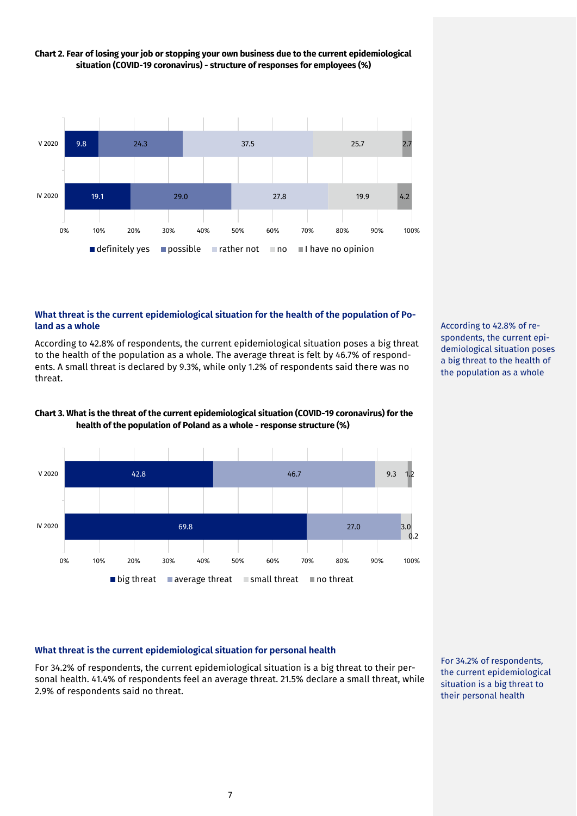

## **Chart 2. Fear of losing your job or stopping your own business due to the current epidemiological situation (COVID-19 coronavirus) - structure of responses for employees (%)**

#### **What threat is the current epidemiological situation for the health of the population of Poland as a whole**

According to 42.8% of respondents, the current epidemiological situation poses a big threat to the health of the population as a whole. The average threat is felt by 46.7% of respondents. A small threat is declared by 9.3%, while only 1.2% of respondents said there was no threat.

According to 42.8% of respondents, the current epidemiological situation poses a big threat to the health of the population as a whole



**Chart 3. What is the threat of the current epidemiological situation (COVID-19 coronavirus) for the** 



#### **What threat is the current epidemiological situation for personal health**

For 34.2% of respondents, the current epidemiological situation is a big threat to their personal health. 41.4% of respondents feel an average threat. 21.5% declare a small threat, while 2.9% of respondents said no threat.

For 34.2% of respondents, the current epidemiological situation is a big threat to their personal health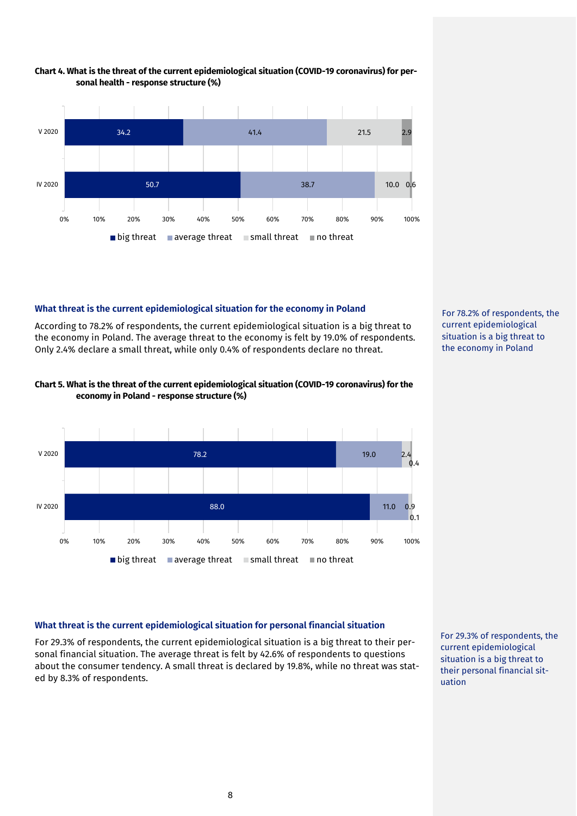

#### **Chart 4. What is the threat of the current epidemiological situation (COVID-19 coronavirus) for personal health - response structure (%)**

## **What threat is the current epidemiological situation for the economy in Poland**

According to 78.2% of respondents, the current epidemiological situation is a big threat to the economy in Poland. The average threat to the economy is felt by 19.0% of respondents. Only 2.4% declare a small threat, while only 0.4% of respondents declare no threat.





For 78.2% of respondents, the current epidemiological situation is a big threat to the economy in Poland

#### **What threat is the current epidemiological situation for personal financial situation**

For 29.3% of respondents, the current epidemiological situation is a big threat to their personal financial situation. The average threat is felt by 42.6% of respondents to questions about the consumer tendency. A small threat is declared by 19.8%, while no threat was stated by 8.3% of respondents.

For 29.3% of respondents, the current epidemiological situation is a big threat to their personal financial situation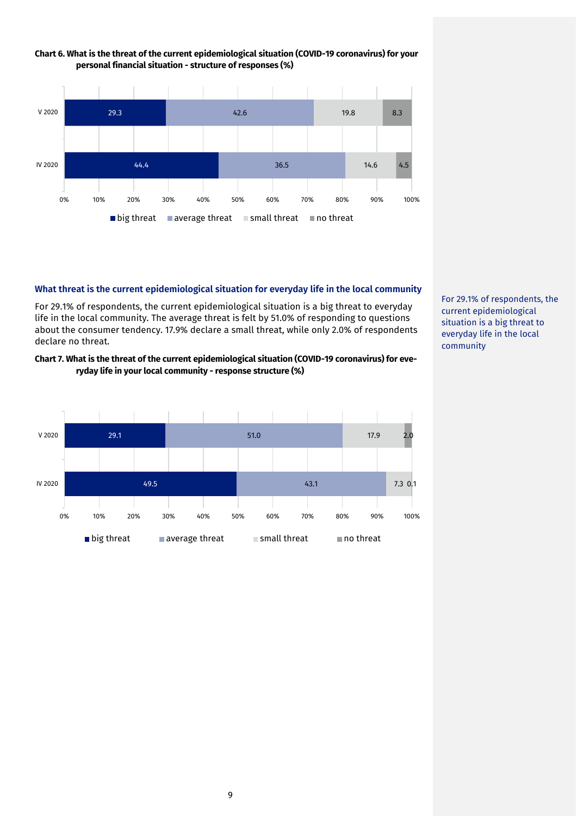

#### **Chart 6. What is the threat of the current epidemiological situation (COVID-19 coronavirus) for your personal financial situation - structure of responses (%)**

#### **What threat is the current epidemiological situation for everyday life in the local community**

For 29.1% of respondents, the current epidemiological situation is a big threat to everyday life in the local community. The average threat is felt by 51.0% of responding to questions about the consumer tendency. 17.9% declare a small threat, while only 2.0% of respondents declare no threat.

#### **Chart 7. What is the threat of the current epidemiological situation (COVID-19 coronavirus) for everyday life in your local community - response structure (%)**



For 29.1% of respondents, the current epidemiological situation is a big threat to everyday life in the local community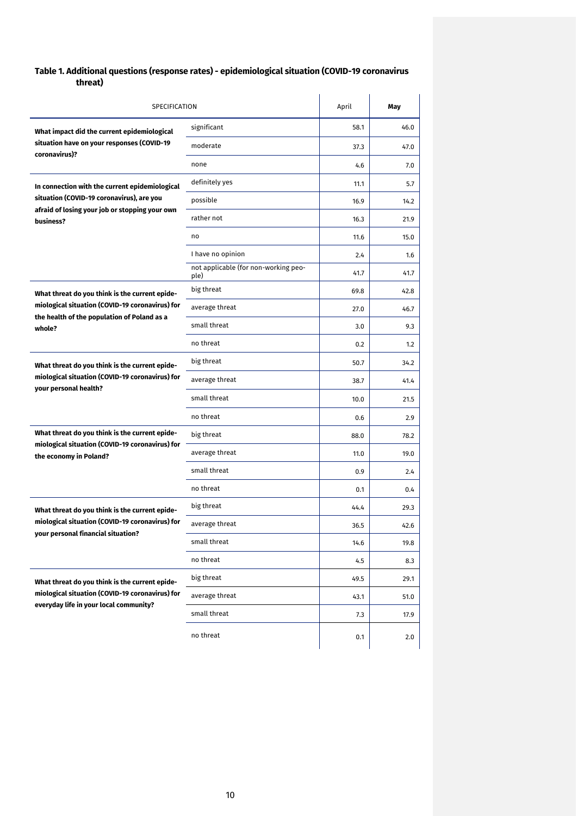# **Table 1. Additional questions (response rates) - epidemiological situation (COVID-19 coronavirus threat)**

| SPECIFICATION                                                                                  |                                              | April | May  |
|------------------------------------------------------------------------------------------------|----------------------------------------------|-------|------|
| What impact did the current epidemiological                                                    | significant                                  | 58.1  | 46.0 |
| situation have on your responses (COVID-19                                                     | moderate                                     | 37.3  | 47.0 |
| coronavirus)?                                                                                  | none                                         | 4.6   | 7.0  |
| In connection with the current epidemiological                                                 | definitely yes                               | 11.1  | 5.7  |
| situation (COVID-19 coronavirus), are you                                                      | possible                                     | 16.9  | 14.2 |
| afraid of losing your job or stopping your own<br>business?                                    | rather not                                   | 16.3  | 21.9 |
|                                                                                                | no                                           | 11.6  | 15.0 |
|                                                                                                | I have no opinion                            | 2.4   | 1.6  |
|                                                                                                | not applicable (for non-working peo-<br>ple) | 41.7  | 41.7 |
| What threat do you think is the current epide-                                                 | big threat                                   | 69.8  | 42.8 |
| miological situation (COVID-19 coronavirus) for<br>the health of the population of Poland as a | average threat                               | 27.0  | 46.7 |
| whole?                                                                                         | small threat                                 | 3.0   | 9.3  |
|                                                                                                | no threat                                    | 0.2   | 1.2  |
| What threat do you think is the current epide-                                                 | big threat                                   | 50.7  | 34.2 |
| miological situation (COVID-19 coronavirus) for<br>your personal health?                       | average threat                               | 38.7  | 41.4 |
|                                                                                                | small threat                                 | 10.0  | 21.5 |
|                                                                                                | no threat                                    | 0.6   | 2.9  |
| What threat do you think is the current epide-                                                 | big threat                                   | 88.0  | 78.2 |
| miological situation (COVID-19 coronavirus) for<br>the economy in Poland?                      | average threat                               | 11.0  | 19.0 |
|                                                                                                | small threat                                 | 0.9   | 2.4  |
|                                                                                                | no threat                                    | 0.1   | 0.4  |
| What threat do you think is the current epide-                                                 | big threat                                   | 44.4  | 29.3 |
| miological situation (COVID-19 coronavirus) for<br>your personal financial situation?          | average threat                               | 36.5  | 42.6 |
|                                                                                                | small threat                                 | 14.6  | 19.8 |
|                                                                                                | no threat                                    | 4.5   | 8.3  |
| What threat do you think is the current epide-                                                 | big threat                                   | 49.5  | 29.1 |
| miological situation (COVID-19 coronavirus) for<br>everyday life in your local community?      | average threat                               | 43.1  | 51.0 |
|                                                                                                | small threat                                 | 7.3   | 17.9 |
|                                                                                                | no threat                                    | 0.1   | 2.0  |